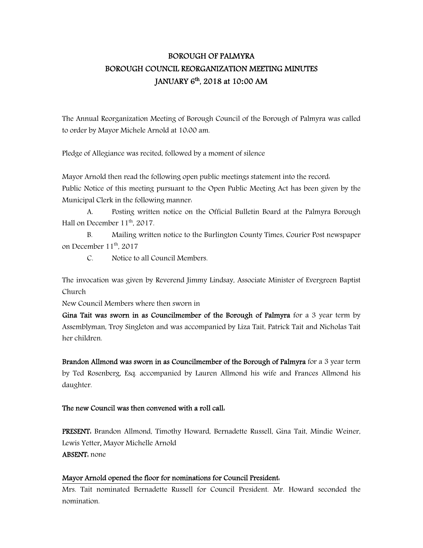# BOROUGH OF PALMYRA BOROUGH COUNCIL REORGANIZATION MEETING MINUTES JANUARY 6 th, 2018 at 10**:**00 AM

The Annual Reorganization Meeting of Borough Council of the Borough of Palmyra was called to order by Mayor Michele Arnold at 10:00 am.

Pledge of Allegiance was recited, followed by a moment of silence

Mayor Arnold then read the following open public meetings statement into the record: Public Notice of this meeting pursuant to the Open Public Meeting Act has been given by the Municipal Clerk in the following manner:

 A. Posting written notice on the Official Bulletin Board at the Palmyra Borough Hall on December 11<sup>th</sup>, 2017.

 B. Mailing written notice to the Burlington County Times, Courier Post newspaper on December 11<sup>th</sup>, 2017

C. Notice to all Council Members.

The invocation was given by Reverend Jimmy Lindsay, Associate Minister of Evergreen Baptist Church

New Council Members where then sworn in

Gina Tait was sworn in as Councilmember of the Borough of Palmyra for a 3 year term by Assemblyman, Troy Singleton and was accompanied by Liza Tait, Patrick Tait and Nicholas Tait her children.

Brandon Allmond was sworn in as Councilmember of the Borough of Palmyra for a 3 year term by Ted Rosenberg, Esq. accompanied by Lauren Allmond his wife and Frances Allmond his daughter.

# The new Council was then convened with a roll call:

PRESENT: Brandon Allmond, Timothy Howard, Bernadette Russell, Gina Tait, Mindie Weiner, Lewis Yetter, Mayor Michelle Arnold ABSENT: none

# Mayor Arnold opened the floor for nominations for Council President:

Mrs. Tait nominated Bernadette Russell for Council President. Mr. Howard seconded the nomination.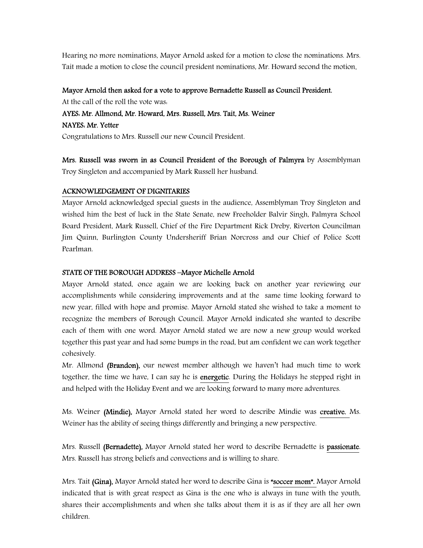Hearing no more nominations, Mayor Arnold asked for a motion to close the nominations. Mrs. Tait made a motion to close the council president nominations, Mr. Howard second the motion.

#### Mayor Arnold then asked for a vote to approve Bernadette Russell as Council President.

At the call of the roll the vote was:

## AYES: Mr. Allmond, Mr. Howard, Mrs. Russell, Mrs. Tait, Ms. Weiner

NAYES: Mr. Yetter

Congratulations to Mrs. Russell our new Council President.

Mrs. Russell was sworn in as Council President of the Borough of Palmyra by Assemblyman Troy Singleton and accompanied by Mark Russell her husband.

#### ACKNOWLEDGEMENT OF DIGNITARIES

Mayor Arnold acknowledged special guests in the audience, Assemblyman Troy Singleton and wished him the best of luck in the State Senate, new Freeholder Balvir Singh, Palmyra School Board President, Mark Russell, Chief of the Fire Department Rick Dreby, Riverton Councilman Jim Quinn, Burlington County Undersheriff Brian Norcross and our Chief of Police Scott Pearlman.

## STATE OF THE BOROUGH ADDRESS –Mayor Michelle Arnold

Mayor Arnold stated, once again we are looking back on another year reviewing our accomplishments while considering improvements and at the same time looking forward to new year, filled with hope and promise. Mayor Arnold stated she wished to take a moment to recognize the members of Borough Council. Mayor Arnold indicated she wanted to describe each of them with one word. Mayor Arnold stated we are now a new group would worked together this past year and had some bumps in the road, but am confident we can work together cohesively.

Mr. Allmond (Brandon), our newest member although we haven't had much time to work together, the time we have, I can say he is energetic. During the Holidays he stepped right in and helped with the Holiday Event and we are looking forward to many more adventures.

Ms. Weiner (Mindie), Mayor Arnold stated her word to describe Mindie was creative. Ms. Weiner has the ability of seeing things differently and bringing a new perspective.

Mrs. Russell (Bernadette), Mayor Arnold stated her word to describe Bernadette is passionate. Mrs. Russell has strong beliefs and convections and is willing to share.

Mrs. Tait (Gina), Mayor Arnold stated her word to describe Gina is "soccer mom". Mayor Arnold indicated that is with great respect as Gina is the one who is always in tune with the youth, shares their accomplishments and when she talks about them it is as if they are all her own children.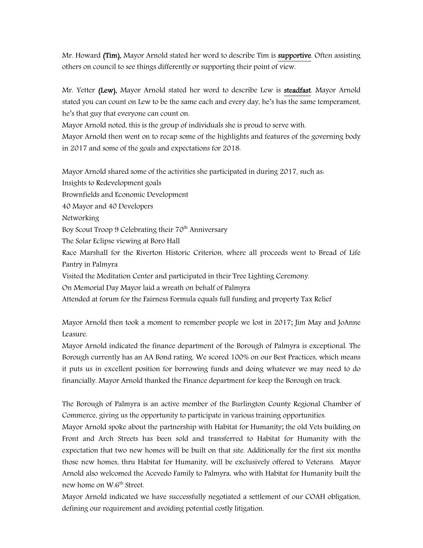Mr. Howard (Tim), Mayor Arnold stated her word to describe Tim is **supportive**. Often assisting others on council to see things differently or supporting their point of view.

Mr. Yetter (Lew), Mayor Arnold stated her word to describe Lew is steadfast. Mayor Arnold stated you can count on Lew to be the same each and every day, he's has the same temperament, he's that guy that everyone can count on.

Mayor Arnold noted, this is the group of individuals she is proud to serve with.

Mayor Arnold then went on to recap some of the highlights and features of the governing body in 2017 and some of the goals and expectations for 2018.

Mayor Arnold shared some of the activities she participated in during 2017, such as:

Insights to Redevelopment goals Brownfields and Economic Development 40 Mayor and 40 Developers Networking Boy Scout Troop 9 Celebrating their  $70<sup>th</sup>$  Anniversary The Solar Eclipse viewing at Boro Hall Race Marshall for the Riverton Historic Criterion, where all proceeds went to Bread of Life Pantry in Palmyra Visited the Meditation Center and participated in their Tree Lighting Ceremony. On Memorial Day Mayor laid a wreath on behalf of Palmyra Attended at forum for the Fairness Formula equals full funding and property Tax Relief

Mayor Arnold then took a moment to remember people we lost in 2017; Jim May and JoAnne Leasure.

Mayor Arnold indicated the finance department of the Borough of Palmyra is exceptional. The Borough currently has an AA Bond rating. We scored 100% on our Best Practices, which means it puts us in excellent position for borrowing funds and doing whatever we may need to do financially. Mayor Arnold thanked the Finance department for keep the Borough on track.

The Borough of Palmyra is an active member of the Burlington County Regional Chamber of Commerce, giving us the opportunity to participate in various training opportunities.

Mayor Arnold spoke about the partnership with Habitat for Humanity; the old Vets building on Front and Arch Streets has been sold and transferred to Habitat for Humanity with the expectation that two new homes will be built on that site. Additionally for the first six months those new homes, thru Habitat for Humanity, will be exclusively offered to Veterans. Mayor Arnold also welcomed the Acevedo Family to Palmyra, who with Habitat for Humanity built the new home on W.6<sup>th</sup> Street.

Mayor Arnold indicated we have successfully negotiated a settlement of our COAH obligation, defining our requirement and avoiding potential costly litigation.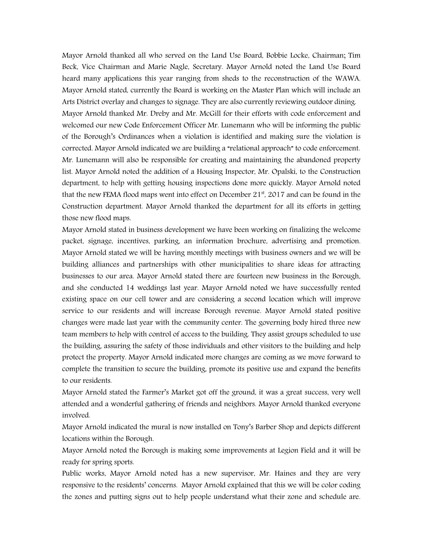Mayor Arnold thanked all who served on the Land Use Board, Bobbie Locke, Chairman; Tim Beck, Vice Chairman and Marie Nagle, Secretary. Mayor Arnold noted the Land Use Board heard many applications this year ranging from sheds to the reconstruction of the WAWA. Mayor Arnold stated, currently the Board is working on the Master Plan which will include an Arts District overlay and changes to signage. They are also currently reviewing outdoor dining. Mayor Arnold thanked Mr. Dreby and Mr. McGill for their efforts with code enforcement and welcomed our new Code Enforcement Officer Mr. Lunemann who will be informing the public of the Borough's Ordinances when a violation is identified and making sure the violation is corrected. Mayor Arnold indicated we are building a "relational approach" to code enforcement. Mr. Lunemann will also be responsible for creating and maintaining the abandoned property list. Mayor Arnold noted the addition of a Housing Inspector, Mr. Opalski, to the Construction department, to help with getting housing inspections done more quickly. Mayor Arnold noted that the new FEMA flood maps went into effect on December  $21^{st}$ , 2017 and can be found in the Construction department. Mayor Arnold thanked the department for all its efforts in getting those new flood maps.

Mayor Arnold stated in business development we have been working on finalizing the welcome packet, signage, incentives, parking, an information brochure, advertising and promotion. Mayor Arnold stated we will be having monthly meetings with business owners and we will be building alliances and partnerships with other municipalities to share ideas for attracting businesses to our area. Mayor Arnold stated there are fourteen new business in the Borough, and she conducted 14 weddings last year. Mayor Arnold noted we have successfully rented existing space on our cell tower and are considering a second location which will improve service to our residents and will increase Borough revenue. Mayor Arnold stated positive changes were made last year with the community center. The governing body hired three new team members to help with control of access to the building. They assist groups scheduled to use the building, assuring the safety of those individuals and other visitors to the building and help protect the property. Mayor Arnold indicated more changes are coming as we move forward to complete the transition to secure the building, promote its positive use and expand the benefits to our residents.

Mayor Arnold stated the Farmer's Market got off the ground, it was a great success, very well attended and a wonderful gathering of friends and neighbors. Mayor Arnold thanked everyone involved.

Mayor Arnold indicated the mural is now installed on Tony's Barber Shop and depicts different locations within the Borough.

Mayor Arnold noted the Borough is making some improvements at Legion Field and it will be ready for spring sports.

Public works, Mayor Arnold noted has a new supervisor, Mr. Haines and they are very responsive to the residents' concerns. Mayor Arnold explained that this we will be color coding the zones and putting signs out to help people understand what their zone and schedule are.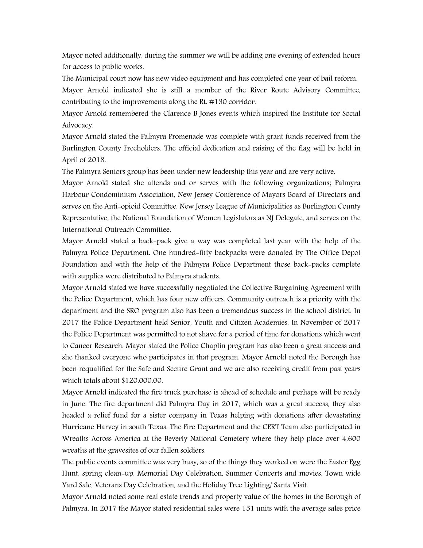Mayor noted additionally, during the summer we will be adding one evening of extended hours for access to public works.

The Municipal court now has new video equipment and has completed one year of bail reform. Mayor Arnold indicated she is still a member of the River Route Advisory Committee, contributing to the improvements along the Rt. #130 corridor.

Mayor Arnold remembered the Clarence B Jones events which inspired the Institute for Social Advocacy.

Mayor Arnold stated the Palmyra Promenade was complete with grant funds received from the Burlington County Freeholders. The official dedication and raising of the flag will be held in April of 2018.

The Palmyra Seniors group has been under new leadership this year and are very active.

Mayor Arnold stated she attends and or serves with the following organizations; Palmyra Harbour Condominium Association, New Jersey Conference of Mayors Board of Directors and serves on the Anti-opioid Committee, New Jersey League of Municipalities as Burlington County Representative, the National Foundation of Women Legislators as NJ Delegate, and serves on the International Outreach Committee.

Mayor Arnold stated a back-pack give a way was completed last year with the help of the Palmyra Police Department. One hundred-fifty backpacks were donated by The Office Depot Foundation and with the help of the Palmyra Police Department those back-packs complete with supplies were distributed to Palmyra students.

Mayor Arnold stated we have successfully negotiated the Collective Bargaining Agreement with the Police Department, which has four new officers. Community outreach is a priority with the department and the SRO program also has been a tremendous success in the school district. In 2017 the Police Department held Senior, Youth and Citizen Academies. In November of 2017 the Police Department was permitted to not shave for a period of time for donations which went to Cancer Research. Mayor stated the Police Chaplin program has also been a great success and she thanked everyone who participates in that program. Mayor Arnold noted the Borough has been requalified for the Safe and Secure Grant and we are also receiving credit from past years which totals about \$120,000.00.

Mayor Arnold indicated the fire truck purchase is ahead of schedule and perhaps will be ready in June. The fire department did Palmyra Day in 2017, which was a great success, they also headed a relief fund for a sister company in Texas helping with donations after devastating Hurricane Harvey in south Texas. The Fire Department and the CERT Team also participated in Wreaths Across America at the Beverly National Cemetery where they help place over 4,600 wreaths at the gravesites of our fallen soldiers.

The public events committee was very busy, so of the things they worked on were the Easter Egg Hunt, spring clean-up, Memorial Day Celebration, Summer Concerts and movies, Town wide Yard Sale, Veterans Day Celebration, and the Holiday Tree Lighting/ Santa Visit.

Mayor Arnold noted some real estate trends and property value of the homes in the Borough of Palmyra. In 2017 the Mayor stated residential sales were 151 units with the average sales price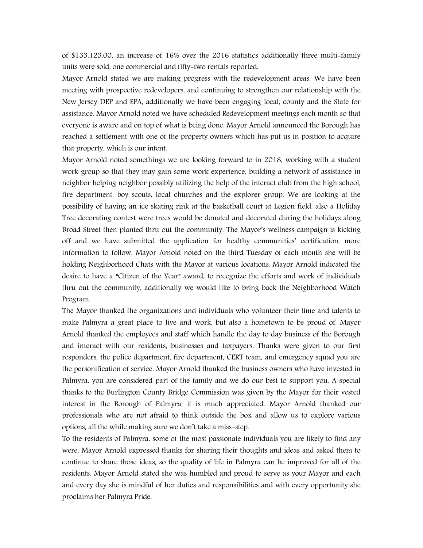of \$133,123.00, an increase of 16% over the 2016 statistics additionally three multi-family units were sold, one commercial and fifty-two rentals reported.

Mayor Arnold stated we are making progress with the redevelopment areas. We have been meeting with prospective redevelopers, and continuing to strengthen our relationship with the New Jersey DEP and EPA, additionally we have been engaging local, county and the State for assistance. Mayor Arnold noted we have scheduled Redevelopment meetings each month so that everyone is aware and on top of what is being done. Mayor Arnold announced the Borough has reached a settlement with one of the property owners which has put us in position to acquire that property, which is our intent.

Mayor Arnold noted somethings we are looking forward to in 2018, working with a student work group so that they may gain some work experience, building a network of assistance in neighbor helping neighbor possibly utilizing the help of the interact club from the high school, fire department, boy scouts, local churches and the explorer group. We are looking at the possibility of having an ice skating rink at the basketball court at Legion field, also a Holiday Tree decorating contest were trees would be donated and decorated during the holidays along Broad Street then planted thru out the community. The Mayor's wellness campaign is kicking off and we have submitted the application for healthy communities' certification, more information to follow. Mayor Arnold noted on the third Tuesday of each month she will be holding Neighborhood Chats with the Mayor at various locations. Mayor Arnold indicated the desire to have a "Citizen of the Year" award, to recognize the efforts and work of individuals thru out the community, additionally we would like to bring back the Neighborhood Watch Program.

The Mayor thanked the organizations and individuals who volunteer their time and talents to make Palmyra a great place to live and work, but also a hometown to be proud of. Mayor Arnold thanked the employees and staff which handle the day to day business of the Borough and interact with our residents, businesses and taxpayers. Thanks were given to our first responders, the police department, fire department, CERT team, and emergency squad you are the personification of service. Mayor Arnold thanked the business owners who have invested in Palmyra, you are considered part of the family and we do our best to support you. A special thanks to the Burlington County Bridge Commission was given by the Mayor for their vested interest in the Borough of Palmyra, it is much appreciated. Mayor Arnold thanked our professionals who are not afraid to think outside the box and allow us to explore various options, all the while making sure we don't take a miss-step.

To the residents of Palmyra, some of the most passionate individuals you are likely to find any were, Mayor Arnold expressed thanks for sharing their thoughts and ideas and asked them to continue to share those ideas, so the quality of life in Palmyra can be improved for all of the residents. Mayor Arnold stated she was humbled and proud to serve as your Mayor and each and every day she is mindful of her duties and responsibilities and with every opportunity she proclaims her Palmyra Pride.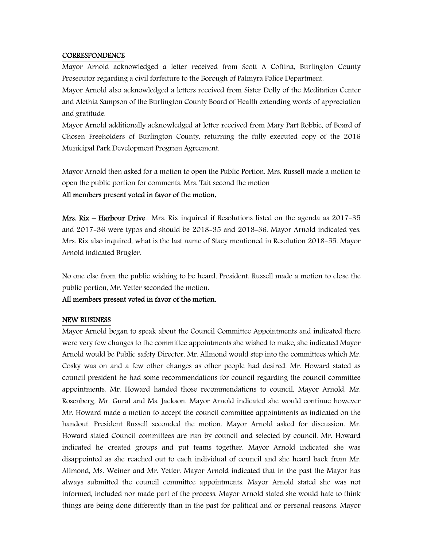#### **CORRESPONDENCE**

Mayor Arnold acknowledged a letter received from Scott A Coffina, Burlington County Prosecutor regarding a civil forfeiture to the Borough of Palmyra Police Department.

Mayor Arnold also acknowledged a letters received from Sister Dolly of the Meditation Center and Alethia Sampson of the Burlington County Board of Health extending words of appreciation and gratitude.

Mayor Arnold additionally acknowledged at letter received from Mary Part Robbie, of Board of Chosen Freeholders of Burlington County, returning the fully executed copy of the 2016 Municipal Park Development Program Agreement.

Mayor Arnold then asked for a motion to open the Public Portion. Mrs. Russell made a motion to open the public portion for comments. Mrs. Tait second the motion

#### All members present voted in favor of the motion**.**

Mrs. Rix – Harbour Drive- Mrs. Rix inquired if Resolutions listed on the agenda as 2017-35 and 2017-36 were typos and should be 2018-35 and 2018-36. Mayor Arnold indicated yes. Mrs. Rix also inquired, what is the last name of Stacy mentioned in Resolution 2018-55. Mayor Arnold indicated Brugler.

No one else from the public wishing to be heard, President. Russell made a motion to close the public portion, Mr. Yetter seconded the motion.

#### All members present voted in favor of the motion.

#### NEW BUSINESS

Mayor Arnold began to speak about the Council Committee Appointments and indicated there were very few changes to the committee appointments she wished to make, she indicated Mayor Arnold would be Public safety Director, Mr. Allmond would step into the committees which Mr. Cosky was on and a few other changes as other people had desired. Mr. Howard stated as council president he had some recommendations for council regarding the council committee appointments. Mr. Howard handed those recommendations to council, Mayor Arnold, Mr. Rosenberg, Mr. Gural and Ms. Jackson. Mayor Arnold indicated she would continue however Mr. Howard made a motion to accept the council committee appointments as indicated on the handout. President Russell seconded the motion. Mayor Arnold asked for discussion. Mr. Howard stated Council committees are run by council and selected by council. Mr. Howard indicated he created groups and put teams together. Mayor Arnold indicated she was disappointed as she reached out to each individual of council and she heard back from Mr. Allmond, Ms. Weiner and Mr. Yetter. Mayor Arnold indicated that in the past the Mayor has always submitted the council committee appointments. Mayor Arnold stated she was not informed, included nor made part of the process. Mayor Arnold stated she would hate to think things are being done differently than in the past for political and or personal reasons. Mayor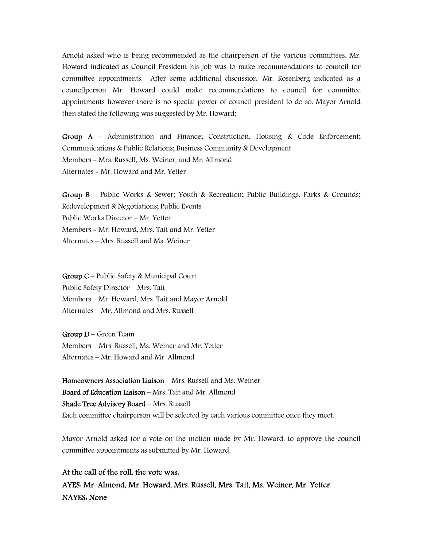Arnold asked who is being recommended as the chairperson of the various committees. Mr. Howard indicated as Council President his job was to make recommendations to council for committee appointments. After some additional discussion, Mr. Rosenberg indicated as a councilperson Mr. Howard could make recommendations to council for committee appointments however there is no special power of council president to do so. Mayor Arnold then stated the following was suggested by Mr. Howard;

Group  $A$  – Administration and Finance; Construction, Housing & Code Enforcement; Communications & Public Relations; Business Community & Development Members - Mrs. Russell, Ms. Weiner, and Mr. Allmond Alternates - Mr. Howard and Mr. Yetter

Group B – Public Works & Sewer; Youth & Recreation; Public Buildings, Parks & Grounds; Redevelopment & Negotiations; Public Events Public Works Director – Mr. Yetter Members - Mr. Howard, Mrs. Tait and Mr. Yetter Alternates – Mrs. Russell and Ms. Weiner

Group C – Public Safety & Municipal Court Public Safety Director – Mrs. Tait Members - Mr. Howard, Mrs. Tait and Mayor Arnold Alternates – Mr. Allmond and Mrs. Russell

Group D – Green Team Members – Mrs. Russell, Ms. Weiner and Mr. Yetter Alternates – Mr. Howard and Mr. Allmond

Homeowners Association Liaison – Mrs. Russell and Ms. Weiner Board of Education Liaison – Mrs. Tait and Mr. Allmond Shade Tree Advisory Board – Mrs. Russell Each committee chairperson will be selected by each various committee once they meet.

Mayor Arnold asked for a vote on the motion made by Mr. Howard, to approve the council committee appointments as submitted by Mr. Howard.

At the call of the roll, the vote was: AYES: Mr. Almond, Mr. Howard, Mrs. Russell, Mrs. Tait, Ms. Weiner, Mr. Yetter NAYES: None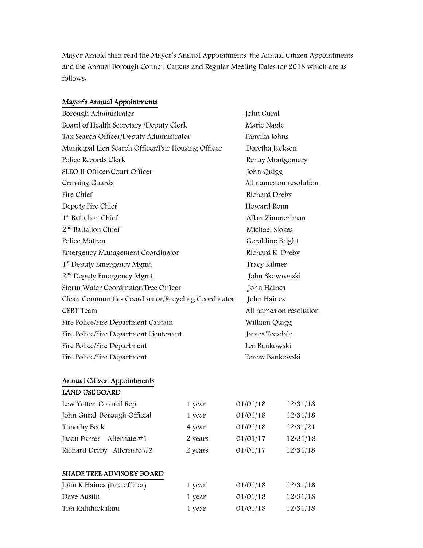Mayor Arnold then read the Mayor's Annual Appointments, the Annual Citizen Appointments and the Annual Borough Council Caucus and Regular Meeting Dates for 2018 which are as follows:

# Mayor's Annual Appointments

| Borough Administrator                               | John Gural              |
|-----------------------------------------------------|-------------------------|
| Board of Health Secretary /Deputy Clerk             | Marie Nagle             |
| Tax Search Officer/Deputy Administrator             | Tanyika Johns           |
| Municipal Lien Search Officer/Fair Housing Officer  | Doretha Jackson         |
| Police Records Clerk                                | Renay Montgomery        |
| SLEO II Officer/Court Officer                       | John Quigg              |
| Crossing Guards                                     | All names on resolution |
| Fire Chief                                          | Richard Dreby           |
| Deputy Fire Chief                                   | Howard Roun             |
| 1 <sup>st</sup> Battalion Chief                     | Allan Zimmeriman        |
| 2 <sup>nd</sup> Battalion Chief                     | Michael Stokes          |
| Police Matron                                       | Geraldine Bright        |
| <b>Emergency Management Coordinator</b>             | Richard K. Dreby        |
| 1 <sup>st</sup> Deputy Emergency Mgmt.              | Tracy Kilmer            |
| 2 <sup>nd</sup> Deputy Emergency Mgmt.              | John Skowronski         |
| Storm Water Coordinator/Tree Officer                | John Haines             |
| Clean Communities Coordinator/Recycling Coordinator | John Haines             |
| <b>CERT</b> Team                                    | All names on resolution |
| Fire Police/Fire Department Captain                 | William Quigg           |
| Fire Police/Fire Department Lieutenant              | James Teesdale          |
| Fire Police/Fire Department                         | Leo Bankowski           |
| Fire Police/Fire Department                         | Teresa Bankowski        |
|                                                     |                         |

# Annual Citizen Appointments

# LAND USE BOARD

| Lew Yetter, Council Rep.     | 1 year  | 01/01/18 | 12/31/18 |
|------------------------------|---------|----------|----------|
| John Gural, Borough Official | 1 year  | 01/01/18 | 12/31/18 |
| Timothy Beck                 | 4 year  | 01/01/18 | 12/31/21 |
| Jason Furrer<br>Alternate #1 | 2 years | 01/01/17 | 12/31/18 |
| Richard Dreby Alternate #2   | 2 years | 01/01/17 | 12/31/18 |
|                              |         |          |          |

# SHADE TREE ADVISORY BOARD

| John K Haines (tree officer) | 1 year | 01/01/18 | 12/31/18 |
|------------------------------|--------|----------|----------|
| Dave Austin                  | 1 year | 01/01/18 | 12/31/18 |
| Tim Kaluhiokalani            | 1 year | 01/01/18 | 12/31/18 |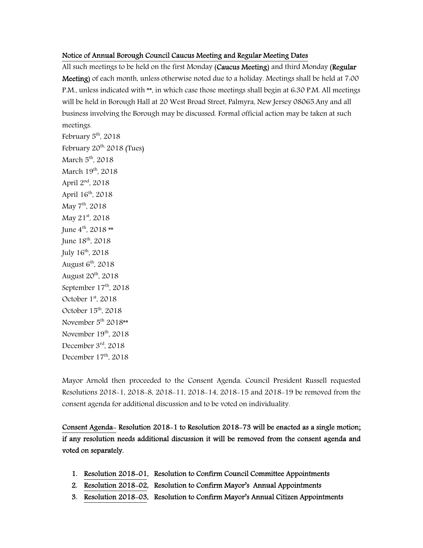## Notice of Annual Borough Council Caucus Meeting and Regular Meeting Dates

All such meetings to be held on the first Monday (Caucus Meeting) and third Monday (Regular Meeting) of each month, unless otherwise noted due to a holiday. Meetings shall be held at 7:00 P.M., unless indicated with \*\*, in which case those meetings shall begin at 6:30 P.M. All meetings will be held in Borough Hall at 20 West Broad Street, Palmyra, New Jersey 08065.Any and all business involving the Borough may be discussed. Formal official action may be taken at such meetings.

February  $5<sup>th</sup>$ , 2018 February  $20^{th}$  2018 (Tues) March  $5<sup>th</sup>$ , 2018 March 19<sup>th</sup>, 2018 April 2nd, 2018 April 16<sup>th</sup>, 2018 May 7<sup>th</sup>, 2018 May 21<sup>st</sup>, 2018 June  $4^{th}$ , 2018 \*\* June 18<sup>th</sup>, 2018 July  $16^{th}$ , 2018 August  $6<sup>th</sup>$ , 2018 August  $20<sup>th</sup>$ ,  $2018$ September  $17<sup>th</sup>$ , 2018 October  $1<sup>st</sup>$ , 2018 October  $15<sup>th</sup>$ , 2018 November 5<sup>th</sup> 2018\*\* November  $19<sup>th</sup>$ , 2018 December 3rd, 2018 December  $17<sup>th</sup>$ , 2018

Mayor Arnold then proceeded to the Consent Agenda. Council President Russell requested Resolutions 2018-1, 2018-8, 2018-11, 2018-14, 2018-15 and 2018-19 be removed from the consent agenda for additional discussion and to be voted on individuality.

Consent Agenda- Resolution 2018-1 to Resolution 2018-73 will be enacted as a single motion; if any resolution needs additional discussion it will be removed from the consent agenda and voted on separately.

- 1. Resolution 2018-01, Resolution to Confirm Council Committee Appointments
- 2. Resolution 2018-02, Resolution to Confirm Mayor's Annual Appointments
- 3. Resolution 2018-03, Resolution to Confirm Mayor's Annual Citizen Appointments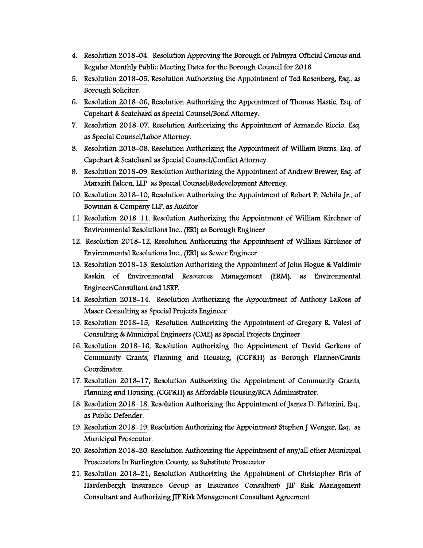- 4. Resolution 2018-04, Resolution Approving the Borough of Palmyra Official Caucus and Regular Monthly Public Meeting Dates for the Borough Council for 2018
- 5. Resolution 2018-05, Resolution Authorizing the Appointment of Ted Rosenberg, Esq., as Borough Solicitor.
- 6. Resolution 2018-06, Resolution Authorizing the Appointment of Thomas Hastie, Esq. of Capehart & Scatchard as Special Counsel/Bond Attorney.
- 7. Resolution 2018-07, Resolution Authorizing the Appointment of Armando Riccio, Esq. as Special Counsel/Labor Attorney.
- 8. Resolution 2018-08, Resolution Authorizing the Appointment of William Burns, Esq. of Capehart & Scatchard as Special Counsel/Conflict Attorney.
- 9. Resolution 2018-09, Resolution Authorizing the Appointment of Andrew Brewer, Esq. of Maraziti Falcon, LLP as Special Counsel/Redevelopment Attorney.
- 10. Resolution 2018-10, Resolution Authorizing the Appointment of Robert P. Nehila Jr., of Bowman & Company LLP, as Auditor
- 11. Resolution 2018-11, Resolution Authorizing the Appointment of William Kirchner of Environmental Resolutions Inc., (ERI) as Borough Engineer
- 12. Resolution 2018-12, Resolution Authorizing the Appointment of William Kirchner of Environmental Resolutions Inc., (ERI) as Sewer Engineer
- 13. Resolution 2018-13, Resolution Authorizing the Appointment of John Hogue & Valdimir Raskin of Environmental Resources Management (ERM), as Environmental Engineer/Consultant and LSRP.
- 14. Resolution 2018-14, Resolution Authorizing the Appointment of Anthony LaRosa of Maser Consulting as Special Projects Engineer
- 15. Resolution 2018-15, Resolution Authorizing the Appointment of Gregory R. Valesi of Consulting & Municipal Engineers (CME) as Special Projects Engineer
- 16. Resolution 2018-16, Resolution Authorizing the Appointment of David Gerkens of Community Grants, Planning and Housing, (CGP&H) as Borough Planner/Grants Coordinator.
- 17. Resolution 2018-17, Resolution Authorizing the Appointment of Community Grants, Planning and Housing, (CGP&H) as Affordable Housing/RCA Administrator.
- 18. Resolution 2018-18, Resolution Authorizing the Appointment of James D. Fattorini, Esq., as Public Defender.
- 19. Resolution 2018-19, Resolution Authorizing the Appointment Stephen J Wenger, Esq. as Municipal Prosecutor.
- 20. Resolution 2018-20, Resolution Authorizing the Appointment of any/all other Municipal Prosecutors In Burlington County, as Substitute Prosecutor
- 21. Resolution 2018-21, Resolution Authorizing the Appointment of Christopher Fifis of Hardenbergh Insurance Group as Insurance Consultant/ JIF Risk Management Consultant and Authorizing JIF Risk Management Consultant Agreement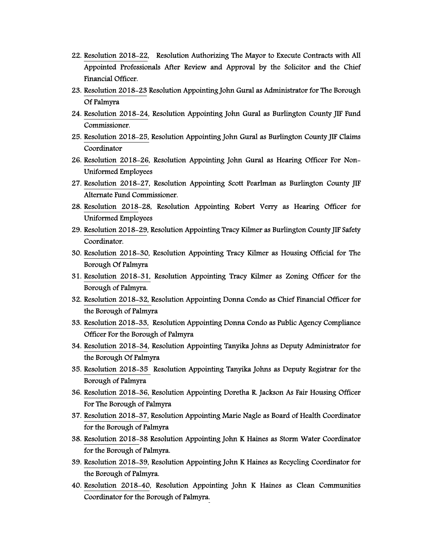- 22. Resolution 2018-22, Resolution Authorizing The Mayor to Execute Contracts with All Appointed Professionals After Review and Approval by the Solicitor and the Chief Financial Officer.
- 23. Resolution 2018-23 Resolution Appointing John Gural as Administrator for The Borough Of Palmyra
- 24. Resolution 2018-24, Resolution Appointing John Gural as Burlington County JIF Fund Commissioner.
- 25. Resolution 2018-25, Resolution Appointing John Gural as Burlington County JIF Claims Coordinator
- 26. Resolution 2018-26, Resolution Appointing John Gural as Hearing Officer For Non-Uniformed Employees
- 27. Resolution 2018-27, Resolution Appointing Scott Pearlman as Burlington County JIF Alternate Fund Commissioner.
- 28. Resolution 2018-28, Resolution Appointing Robert Verry as Hearing Officer for Uniformed Employees
- 29. Resolution 2018-29, Resolution Appointing Tracy Kilmer as Burlington County JIF Safety Coordinator.
- 30. Resolution 2018-30, Resolution Appointing Tracy Kilmer as Housing Official for The Borough Of Palmyra
- 31. Resolution 2018-31, Resolution Appointing Tracy Kilmer as Zoning Officer for the Borough of Palmyra.
- 32. Resolution 2018-32, Resolution Appointing Donna Condo as Chief Financial Officer for the Borough of Palmyra
- 33. Resolution 2018-33, Resolution Appointing Donna Condo as Public Agency Compliance Officer For the Borough of Palmyra
- 34. Resolution 2018-34, Resolution Appointing Tanyika Johns as Deputy Administrator for the Borough Of Palmyra
- 35. Resolution 2018-35 Resolution Appointing Tanyika Johns as Deputy Registrar for the Borough of Palmyra
- 36. Resolution 2018-36, Resolution Appointing Doretha R. Jackson As Fair Housing Officer For The Borough of Palmyra
- 37. Resolution 2018-37, Resolution Appointing Marie Nagle as Board of Health Coordinator for the Borough of Palmyra
- 38. Resolution 2018-38 Resolution Appointing John K Haines as Storm Water Coordinator for the Borough of Palmyra.
- 39. Resolution 2018-39, Resolution Appointing John K Haines as Recycling Coordinator for the Borough of Palmyra.
- 40. Resolution 2018-40, Resolution Appointing John K Haines as Clean Communities Coordinator for the Borough of Palmyra.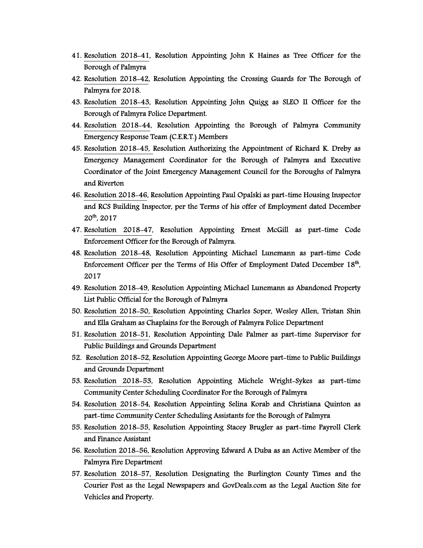- 41. Resolution 2018-41, Resolution Appointing John K Haines as Tree Officer for the Borough of Palmyra
- 42. Resolution 2018-42, Resolution Appointing the Crossing Guards for The Borough of Palmyra for 2018.
- 43. Resolution 2018-43, Resolution Appointing John Quigg as SLEO II Officer for the Borough of Palmyra Police Department.
- 44. Resolution 2018-44, Resolution Appointing the Borough of Palmyra Community Emergency Response Team (C.E.R.T.) Members
- 45. Resolution 2018-45, Resolution Authorizing the Appointment of Richard K. Dreby as Emergency Management Coordinator for the Borough of Palmyra and Executive Coordinator of the Joint Emergency Management Council for the Boroughs of Palmyra and Riverton
- 46. Resolution 2018-46, Resolution Appointing Paul Opalski as part-time Housing Inspector and RCS Building Inspector, per the Terms of his offer of Employment dated December 20th, 2017
- 47. Resolution 2018-47, Resolution Appointing Ernest McGill as part-time Code Enforcement Officer for the Borough of Palmyra.
- 48. Resolution 2018-48, Resolution Appointing Michael Lunemann as part-time Code Enforcement Officer per the Terms of His Offer of Employment Dated December 18<sup>th</sup>, 2017
- 49. Resolution 2018-49, Resolution Appointing Michael Lunemann as Abandoned Property List Public Official for the Borough of Palmyra
- 50. Resolution 2018-50, Resolution Appointing Charles Soper, Wesley Allen, Tristan Shin and Ella Graham as Chaplains for the Borough of Palmyra Police Department
- 51. Resolution 2018-51, Resolution Appointing Dale Palmer as part-time Supervisor for Public Buildings and Grounds Department
- 52. Resolution 2018-52, Resolution Appointing George Moore part-time to Public Buildings and Grounds Department
- 53. Resolution 2018-53, Resolution Appointing Michele Wright-Sykes as part-time Community Center Scheduling Coordinator For the Borough of Palmyra
- 54. Resolution 2018-54, Resolution Appointing Selina Korab and Christiana Quinton as part-time Community Center Scheduling Assistants for the Borough of Palmyra
- 55. Resolution 2018-55, Resolution Appointing Stacey Brugler as part-time Payroll Clerk and Finance Assistant
- 56. Resolution 2018-56, Resolution Approving Edward A Duba as an Active Member of the Palmyra Fire Department
- 57. Resolution 2018-57, Resolution Designating the Burlington County Times and the Courier Post as the Legal Newspapers and GovDeals.com as the Legal Auction Site for Vehicles and Property.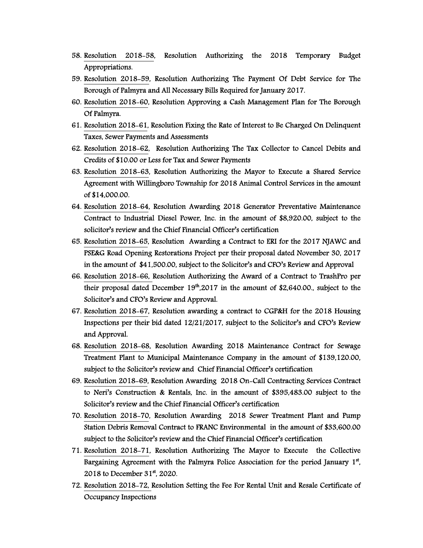- 58. Resolution 2018-58, Resolution Authorizing the 2018 Temporary Budget Appropriations.
- 59. Resolution 2018-59, Resolution Authorizing The Payment Of Debt Service for The Borough of Palmyra and All Necessary Bills Required for January 2017.
- 60. Resolution 2018-60, Resolution Approving a Cash Management Plan for The Borough Of Palmyra.
- 61. Resolution 2018-61, Resolution Fixing the Rate of Interest to Be Charged On Delinquent Taxes, Sewer Payments and Assessments
- 62. Resolution 2018-62, Resolution Authorizing The Tax Collector to Cancel Debits and Credits of \$10.00 or Less for Tax and Sewer Payments
- 63. Resolution 2018-63, Resolution Authorizing the Mayor to Execute a Shared Service Agreement with Willingboro Township for 2018 Animal Control Services in the amount of \$14,000.00.
- 64. Resolution 2018-64, Resolution Awarding 2018 Generator Preventative Maintenance Contract to Industrial Diesel Power, Inc. in the amount of \$8,920.00, subject to the solicitor's review and the Chief Financial Officer's certification
- 65. Resolution 2018-65, Resolution Awarding a Contract to ERI for the 2017 NJAWC and PSE&G Road Opening Restorations Project per their proposal dated November 30, 2017 in the amount of \$41,500.00, subject to the Solicitor's and CFO's Review and Approval
- 66. Resolution 2018-66, Resolution Authorizing the Award of a Contract to TrashPro per their proposal dated December  $19<sup>th</sup>$ ,2017 in the amount of \$2,640.00., subject to the Solicitor's and CFO's Review and Approval.
- 67. Resolution 2018-67, Resolution awarding a contract to CGP&H for the 2018 Housing Inspections per their bid dated 12/21/2017, subject to the Solicitor's and CFO's Review and Approval.
- 68. Resolution 2018-68, Resolution Awarding 2018 Maintenance Contract for Sewage Treatment Plant to Municipal Maintenance Company in the amount of \$139,120.00, subject to the Solicitor's review and Chief Financial Officer's certification
- 69. Resolution 2018-69, Resolution Awarding 2018 On-Call Contracting Services Contract to Neri's Construction & Rentals, Inc. in the amount of \$395,483.00 subject to the Solicitor's review and the Chief Financial Officer's certification
- 70. Resolution 2018-70, Resolution Awarding 2018 Sewer Treatment Plant and Pump Station Debris Removal Contract to FRANC Environmental in the amount of \$33,600.00 subject to the Solicitor's review and the Chief Financial Officer's certification
- 71. Resolution 2018-71, Resolution Authorizing The Mayor to Execute the Collective Bargaining Agreement with the Palmyra Police Association for the period January 1<sup>st</sup>, 2018 to December 31<sup>st</sup>, 2020.
- 72. Resolution 2018-72, Resolution Setting the Fee For Rental Unit and Resale Certificate of Occupancy Inspections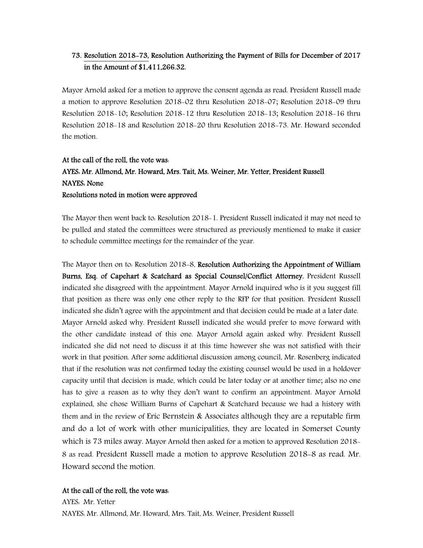# 73. Resolution 2018-73, Resolution Authorizing the Payment of Bills for December of 2017 in the Amount of \$1,411,266.32.

Mayor Arnold asked for a motion to approve the consent agenda as read. President Russell made a motion to approve Resolution 2018-02 thru Resolution 2018-07; Resolution 2018-09 thru Resolution 2018-10; Resolution 2018-12 thru Resolution 2018-13; Resolution 2018-16 thru Resolution 2018-18 and Resolution 2018-20 thru Resolution 2018-73. Mr. Howard seconded the motion.

# At the call of the roll, the vote was: AYES: Mr. Allmond, Mr. Howard, Mrs. Tait, Ms. Weiner, Mr. Yetter, President Russell NAYES: None Resolutions noted in motion were approved

The Mayor then went back to: Resolution 2018-1. President Russell indicated it may not need to be pulled and stated the committees were structured as previously mentioned to make it easier to schedule committee meetings for the remainder of the year.

The Mayor then on to Resolution 2018-8, Resolution Authorizing the Appointment of William Burns, Esq. of Capehart & Scatchard as Special Counsel/Conflict Attorney. President Russell indicated she disagreed with the appointment. Mayor Arnold inquired who is it you suggest fill that position as there was only one other reply to the RFP for that position. President Russell indicated she didn't agree with the appointment and that decision could be made at a later date. Mayor Arnold asked why. President Russell indicated she would prefer to move forward with the other candidate instead of this one. Mayor Arnold again asked why. President Russell indicated she did not need to discuss it at this time however she was not satisfied with their work in that position. After some additional discussion among council, Mr. Rosenberg indicated that if the resolution was not confirmed today the existing counsel would be used in a holdover capacity until that decision is made, which could be later today or at another time; also no one has to give a reason as to why they don't want to confirm an appointment. Mayor Arnold explained, she chose William Burns of Capehart & Scatchard because we had a history with them and in the review of Eric Bernstein & Associates although they are a reputable firm and do a lot of work with other municipalities, they are located in Somerset County which is 73 miles away. Mayor Arnold then asked for a motion to approved Resolution 2018- 8 as read. President Russell made a motion to approve Resolution 2018-8 as read. Mr. Howard second the motion.

#### At the call of the roll, the vote was:

AYES: Mr. Yetter NAYES: Mr. Allmond, Mr. Howard, Mrs. Tait, Ms. Weiner, President Russell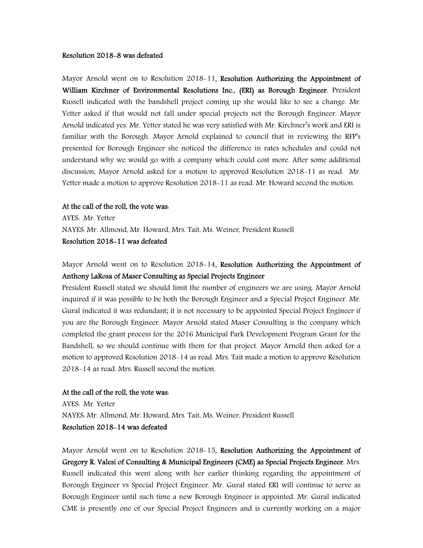#### Resolution 2018-8 was defeated

Mayor Arnold went on to Resolution 2018-11, Resolution Authorizing the Appointment of William Kirchner of Environmental Resolutions Inc., (ERI) as Borough Engineer. President Russell indicated with the bandshell project coming up she would like to see a change. Mr. Yetter asked if that would not fall under special projects not the Borough Engineer. Mayor Arnold indicated yes. Mr. Yetter stated he was very satisfied with Mr. Kirchner's work and ERI is familiar with the Borough. Mayor Arnold explained to council that in reviewing the RFP's presented for Borough Engineer she noticed the difference in rates schedules and could not understand why we would go with a company which could cost more. After some additional discussion, Mayor Arnold asked for a motion to approved Resolution 2018-11 as read. Mr. Yetter made a motion to approve Resolution 2018-11 as read. Mr. Howard second the motion.

#### At the call of the roll, the vote was:

AYES: Mr. Yetter NAYES: Mr. Allmond, Mr. Howard, Mrs. Tait, Ms. Weiner, President Russell Resolution 2018-11 was defeated

Mayor Arnold went on to Resolution 2018-14, Resolution Authorizing the Appointment of Anthony LaRosa of Maser Consulting as Special Projects Engineer

President Russell stated we should limit the number of engineers we are using. Mayor Arnold inquired if it was possible to be both the Borough Engineer and a Special Project Engineer. Mr. Gural indicated it was redundant; it is not necessary to be appointed Special Project Engineer if you are the Borough Engineer. Mayor Arnold stated Maser Consulting is the company which completed the grant process for the 2016 Municipal Park Development Program Grant for the Bandshell, so we should continue with them for that project. Mayor Arnold then asked for a motion to approved Resolution 2018-14 as read. Mrs. Tait made a motion to approve Resolution 2018-14 as read. Mrs. Russell second the motion.

## At the call of the roll, the vote was:

AYES: Mr. Yetter NAYES: Mr. Allmond, Mr. Howard, Mrs. Tait, Ms. Weiner, President Russell Resolution 2018-14 was defeated

Mayor Arnold went on to Resolution 2018-15, Resolution Authorizing the Appointment of Gregory R. Valesi of Consulting & Municipal Engineers (CME) as Special Projects Engineer. Mrs. Russell indicated this went along with her earlier thinking regarding the appointment of Borough Engineer vs Special Project Engineer. Mr. Gural stated ERI will continue to serve as Borough Engineer until such time a new Borough Engineer is appointed. Mr. Gural indicated CME is presently one of our Special Project Engineers and is currently working on a major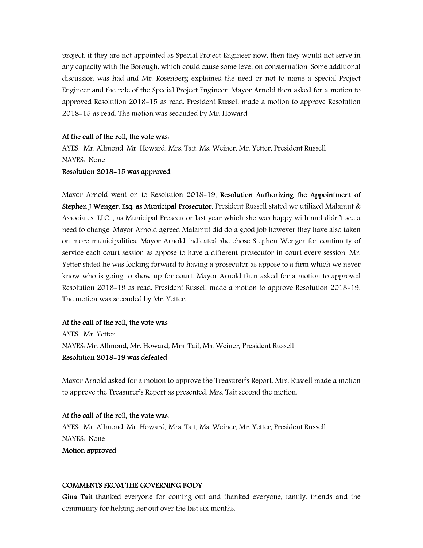project, if they are not appointed as Special Project Engineer now, then they would not serve in any capacity with the Borough, which could cause some level on consternation. Some additional discussion was had and Mr. Rosenberg explained the need or not to name a Special Project Engineer and the role of the Special Project Engineer. Mayor Arnold then asked for a motion to approved Resolution 2018-15 as read. President Russell made a motion to approve Resolution 2018-15 as read. The motion was seconded by Mr. Howard.

#### At the call of the roll, the vote was:

AYES: Mr. Allmond, Mr. Howard, Mrs. Tait, Ms. Weiner, Mr. Yetter, President Russell NAYES: None

#### Resolution 2018-15 was approved

Mayor Arnold went on to Resolution 2018-19, Resolution Authorizing the Appointment of Stephen J Wenger, Esq. as Municipal Prosecutor. President Russell stated we utilized Malamut & Associates, LLC. , as Municipal Prosecutor last year which she was happy with and didn't see a need to change. Mayor Arnold agreed Malamut did do a good job however they have also taken on more municipalities. Mayor Arnold indicated she chose Stephen Wenger for continuity of service each court session as appose to have a different prosecutor in court every session. Mr. Yetter stated he was looking forward to having a prosecutor as appose to a firm which we never know who is going to show up for court. Mayor Arnold then asked for a motion to approved Resolution 2018-19 as read. President Russell made a motion to approve Resolution 2018-19. The motion was seconded by Mr. Yetter.

#### At the call of the roll, the vote was

AYES: Mr. Yetter NAYES: Mr. Allmond, Mr. Howard, Mrs. Tait, Ms. Weiner, President Russell Resolution 2018-19 was defeated

Mayor Arnold asked for a motion to approve the Treasurer's Report. Mrs. Russell made a motion to approve the Treasurer's Report as presented. Mrs. Tait second the motion.

#### At the call of the roll, the vote was:

AYES: Mr. Allmond, Mr. Howard, Mrs. Tait, Ms. Weiner, Mr. Yetter, President Russell NAYES: None

Motion approved

#### COMMENTS FROM THE GOVERNING BODY

Gina Tait thanked everyone for coming out and thanked everyone, family, friends and the community for helping her out over the last six months.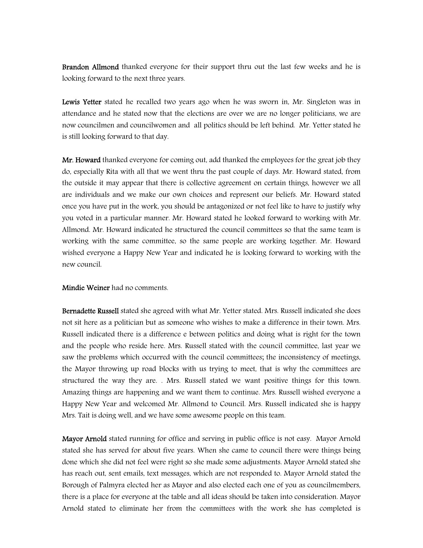Brandon Allmond thanked everyone for their support thru out the last few weeks and he is looking forward to the next three years.

Lewis Yetter stated he recalled two years ago when he was sworn in, Mr. Singleton was in attendance and he stated now that the elections are over we are no longer politicians, we are now councilmen and councilwomen and all politics should be left behind. Mr. Yetter stated he is still looking forward to that day.

Mr. Howard thanked everyone for coming out, add thanked the employees for the great job they do, especially Rita with all that we went thru the past couple of days. Mr. Howard stated, from the outside it may appear that there is collective agreement on certain things, however we all are individuals and we make our own choices and represent our beliefs. Mr. Howard stated once you have put in the work, you should be antagonized or not feel like to have to justify why you voted in a particular manner. Mr. Howard stated he looked forward to working with Mr. Allmond. Mr. Howard indicated he structured the council committees so that the same team is working with the same committee, so the same people are working together. Mr. Howard wished everyone a Happy New Year and indicated he is looking forward to working with the new council.

Mindie Weiner had no comments.

Bernadette Russell stated she agreed with what Mr. Yetter stated. Mrs. Russell indicated she does not sit here as a politician but as someone who wishes to make a difference in their town. Mrs. Russell indicated there is a difference e between politics and doing what is right for the town and the people who reside here. Mrs. Russell stated with the council committee, last year we saw the problems which occurred with the council committees; the inconsistency of meetings, the Mayor throwing up road blocks with us trying to meet, that is why the committees are structured the way they are. . Mrs. Russell stated we want positive things for this town. Amazing things are happening and we want them to continue. Mrs. Russell wished everyone a Happy New Year and welcomed Mr. Allmond to Council. Mrs. Russell indicated she is happy Mrs. Tait is doing well, and we have some awesome people on this team.

Mayor Arnold stated running for office and serving in public office is not easy. Mayor Arnold stated she has served for about five years. When she came to council there were things being done which she did not feel were right so she made some adjustments. Mayor Arnold stated she has reach out, sent emails, text messages, which are not responded to. Mayor Arnold stated the Borough of Palmyra elected her as Mayor and also elected each one of you as councilmembers, there is a place for everyone at the table and all ideas should be taken into consideration. Mayor Arnold stated to eliminate her from the committees with the work she has completed is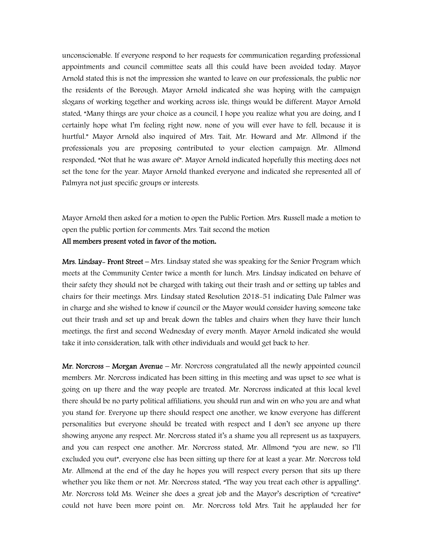unconscionable. If everyone respond to her requests for communication regarding professional appointments and council committee seats all this could have been avoided today. Mayor Arnold stated this is not the impression she wanted to leave on our professionals, the public nor the residents of the Borough. Mayor Arnold indicated she was hoping with the campaign slogans of working together and working across isle, things would be different. Mayor Arnold stated, "Many things are your choice as a council, I hope you realize what you are doing, and I certainly hope what I'm feeling right now, none of you will ever have to fell, because it is hurtful." Mayor Arnold also inquired of Mrs. Tait, Mr. Howard and Mr. Allmond if the professionals you are proposing contributed to your election campaign. Mr. Allmond responded, "Not that he was aware of". Mayor Arnold indicated hopefully this meeting does not set the tone for the year. Mayor Arnold thanked everyone and indicated she represented all of Palmyra not just specific groups or interests.

Mayor Arnold then asked for a motion to open the Public Portion. Mrs. Russell made a motion to open the public portion for comments. Mrs. Tait second the motion All members present voted in favor of the motion**.** 

Mrs. Lindsay- Front Street – Mrs. Lindsay stated she was speaking for the Senior Program which meets at the Community Center twice a month for lunch. Mrs. Lindsay indicated on behave of their safety they should not be charged with taking out their trash and or setting up tables and chairs for their meetings. Mrs. Lindsay stated Resolution 2018-51 indicating Dale Palmer was in charge and she wished to know if council or the Mayor would consider having someone take out their trash and set up and break down the tables and chairs when they have their lunch meetings, the first and second Wednesday of every month. Mayor Arnold indicated she would take it into consideration, talk with other individuals and would get back to her.

Mr. Norcross – Morgan Avenue – Mr. Norcross congratulated all the newly appointed council members. Mr. Norcross indicated has been sitting in this meeting and was upset to see what is going on up there and the way people are treated. Mr. Norcross indicated at this local level there should be no party political affiliations, you should run and win on who you are and what you stand for. Everyone up there should respect one another, we know everyone has different personalities but everyone should be treated with respect and I don't see anyone up there showing anyone any respect. Mr. Norcross stated it's a shame you all represent us as taxpayers, and you can respect one another. Mr. Norcross stated, Mr. Allmond "you are new, so I'll excluded you out", everyone else has been sitting up there for at least a year. Mr. Norcross told Mr. Allmond at the end of the day he hopes you will respect every person that sits up there whether you like them or not. Mr. Norcross stated, "The way you treat each other is appalling". Mr. Norcross told Ms. Weiner she does a great job and the Mayor's description of "creative" could not have been more point on. Mr. Norcross told Mrs. Tait he applauded her for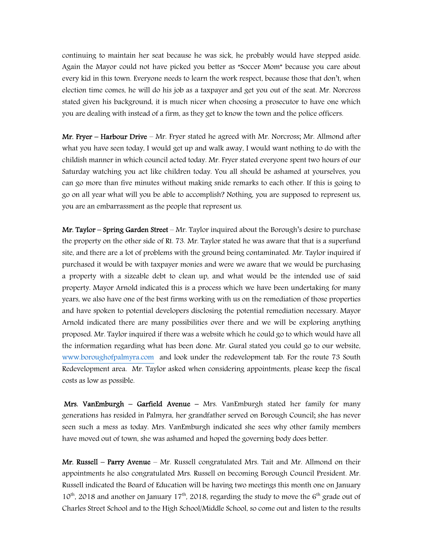continuing to maintain her seat because he was sick, he probably would have stepped aside. Again the Mayor could not have picked you better as "Soccer Mom" because you care about every kid in this town. Everyone needs to learn the work respect, because those that don't, when election time comes, he will do his job as a taxpayer and get you out of the seat. Mr. Norcross stated given his background, it is much nicer when choosing a prosecutor to have one which you are dealing with instead of a firm, as they get to know the town and the police officers.

Mr. Fryer – Harbour Drive – Mr. Fryer stated he agreed with Mr. Norcross; Mr. Allmond after what you have seen today, I would get up and walk away, I would want nothing to do with the childish manner in which council acted today. Mr. Fryer stated everyone spent two hours of our Saturday watching you act like children today. You all should be ashamed at yourselves, you can go more than five minutes without making snide remarks to each other. If this is going to go on all year what will you be able to accomplish? Nothing, you are supposed to represent us, you are an embarrassment as the people that represent us.

**Mr. Taylor – Spring Garden Street –** Mr. Taylor inquired about the Borough's desire to purchase the property on the other side of Rt. 73. Mr. Taylor stated he was aware that that is a superfund site, and there are a lot of problems with the ground being contaminated. Mr. Taylor inquired if purchased it would be with taxpayer monies and were we aware that we would be purchasing a property with a sizeable debt to clean up, and what would be the intended use of said property. Mayor Arnold indicated this is a process which we have been undertaking for many years, we also have one of the best firms working with us on the remediation of those properties and have spoken to potential developers disclosing the potential remediation necessary. Mayor Arnold indicated there are many possibilities over there and we will be exploring anything proposed. Mr. Taylor inquired if there was a website which he could go to which would have all the information regarding what has been done. Mr. Gural stated you could go to our website, www.boroughofpalmyra.com and look under the redevelopment tab. For the route 73 South Redevelopment area. Mr. Taylor asked when considering appointments, please keep the fiscal costs as low as possible.

Mrs. VanEmburgh – Garfield Avenue – Mrs. VanEmburgh stated her family for many generations has resided in Palmyra, her grandfather served on Borough Council; she has never seen such a mess as today. Mrs. VanEmburgh indicated she sees why other family members have moved out of town, she was ashamed and hoped the governing body does better.

Mr. Russell – Parry Avenue – Mr. Russell congratulated Mrs. Tait and Mr. Allmond on their appointments he also congratulated Mrs. Russell on becoming Borough Council President. Mr. Russell indicated the Board of Education will be having two meetings this month one on January  $10^{th}$ , 2018 and another on January 17<sup>th</sup>, 2018, regarding the study to move the  $6^{th}$  grade out of Charles Street School and to the High School/Middle School, so come out and listen to the results